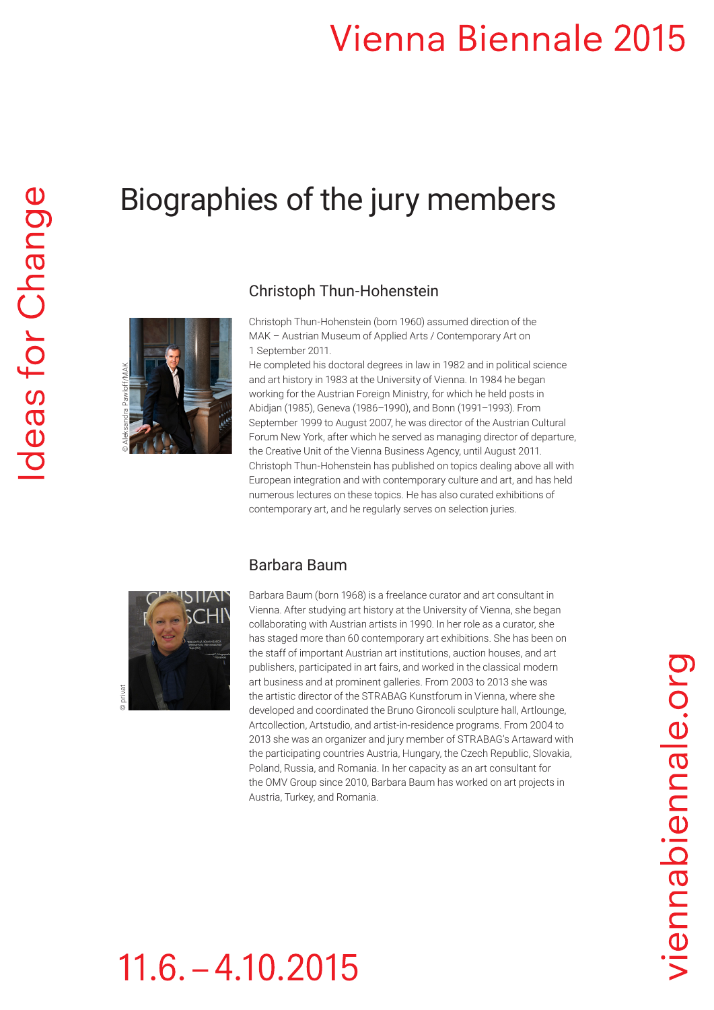## **Vienna Biennale 2015**

### Biographies of the jury members



Christoph Thun-Hohenstein (born 1960) assumed direction of the MAK – Austrian Museum of Applied Arts / Contemporary Art on 1 September 2011.

He completed his doctoral degrees in law in 1982 and in political science and art history in 1983 at the University of Vienna. In 1984 he began working for the Austrian Foreign Ministry, for which he held posts in Abidjan (1985), Geneva (1986–1990), and Bonn (1991–1993). From September 1999 to August 2007, he was director of the Austrian Cultural Forum New York, after which he served as managing director of departure, the Creative Unit of the Vienna Business Agency, until August 2011. Christoph Thun-Hohenstein has published on topics dealing above all with European integration and with contemporary culture and art, and has held numerous lectures on these topics. He has also curated exhibitions of contemporary art, and he regularly serves on selection juries.



### Barbara Baum

Barbara Baum (born 1968) is a freelance curator and art consultant in Vienna. After studying art history at the University of Vienna, she began collaborating with Austrian artists in 1990. In her role as a curator, she has staged more than 60 contemporary art exhibitions. She has been on the staff of important Austrian art institutions, auction houses, and art publishers, participated in art fairs, and worked in the classical modern art business and at prominent galleries. From 2003 to 2013 she was the artistic director of the STRABAG Kunstforum in Vienna, where she developed and coordinated the Bruno Gironcoli sculpture hall, Artlounge, Artcollection, Artstudio, and artist-in-residence programs. From 2004 to 2013 she was an organizer and jury member of STRABAG's Artaward with the participating countries Austria, Hungary, the Czech Republic, Slovakia, Poland, Russia, and Romania. In her capacity as an art consultant for the OMV Group since 2010, Barbara Baum has worked on art projects in Austria, Turkey, and Romania.

# $11.6. - 4.10.2015$